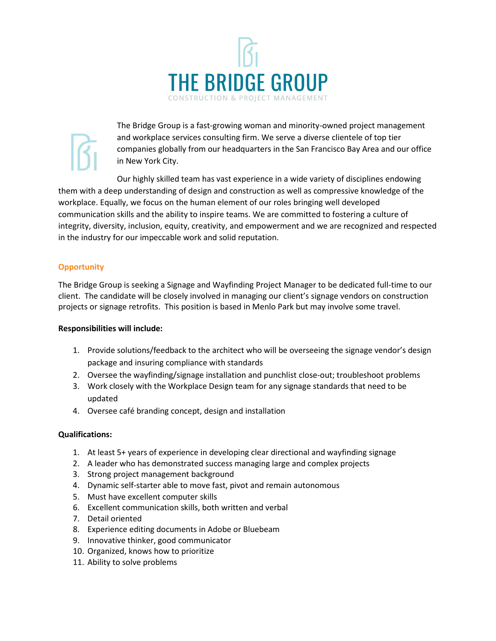

The Bridge Group is a fast-growing woman and minority-owned project management and workplace services consulting firm. We serve a diverse clientele of top tier companies globally from our headquarters in the San Francisco Bay Area and our office in New York City.

Our highly skilled team has vast experience in a wide variety of disciplines endowing them with a deep understanding of design and construction as well as compressive knowledge of the workplace. Equally, we focus on the human element of our roles bringing well developed communication skills and the ability to inspire teams. We are committed to fostering a culture of integrity, diversity, inclusion, equity, creativity, and empowerment and we are recognized and respected in the industry for our impeccable work and solid reputation.

# **Opportunity**

The Bridge Group is seeking a Signage and Wayfinding Project Manager to be dedicated full-time to our client. The candidate will be closely involved in managing our client's signage vendors on construction projects or signage retrofits. This position is based in Menlo Park but may involve some travel.

### **Responsibilities will include:**

- 1. Provide solutions/feedback to the architect who will be overseeing the signage vendor's design package and insuring compliance with standards
- 2. Oversee the wayfinding/signage installation and punchlist close-out; troubleshoot problems
- 3. Work closely with the Workplace Design team for any signage standards that need to be updated
- 4. Oversee café branding concept, design and installation

# **Qualifications:**

- 1. At least 5+ years of experience in developing clear directional and wayfinding signage
- 2. A leader who has demonstrated success managing large and complex projects
- 3. Strong project management background
- 4. Dynamic self-starter able to move fast, pivot and remain autonomous
- 5. Must have excellent computer skills
- 6. Excellent communication skills, both written and verbal
- 7. Detail oriented
- 8. Experience editing documents in Adobe or Bluebeam
- 9. Innovative thinker, good communicator
- 10. Organized, knows how to prioritize
- 11. Ability to solve problems